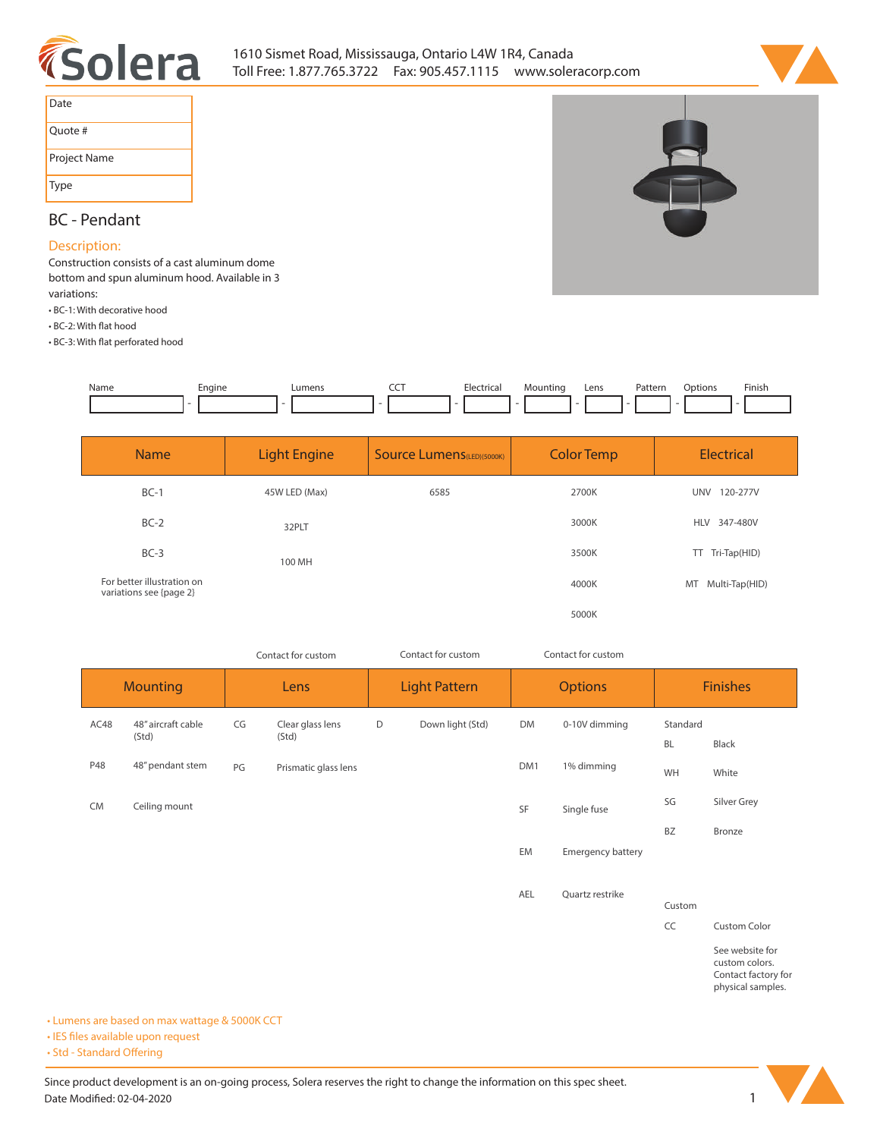



| Date         |  |
|--------------|--|
| Ouote #      |  |
| Project Name |  |
| Type         |  |

# **BC - Pendant**

#### **Description:**

**Construction consists of a cast aluminum dome bottom and spun aluminum hood. Available in 3 variations:**

- **BC-1: With decorative hood**
- **BC-2: With flat hood**

**• BC-3: With at perforated hood**



| <b>Name</b>                                           | <b>Light Engine</b> | <b>Source Lumens</b> (LED)(5000K) | <b>Color Temp</b> | <b>Electrical</b>      |
|-------------------------------------------------------|---------------------|-----------------------------------|-------------------|------------------------|
| $BC-1$                                                | 45W LED (Max)       | 6585                              | 2700K             | <b>UNV</b><br>120-277V |
| $BC-2$                                                | 32PLT               |                                   | 3000K             | <b>HLV</b><br>347-480V |
| $BC-3$                                                | 100 MH              |                                   | 3500K             | Tri-Tap(HID)<br>TT.    |
| For better illustration on<br>variations see {page 2} |                     |                                   | 4000K             | MT Multi-Tap(HID)      |
|                                                       |                     |                                   | 5000K             |                        |

| Contact for custom |                             | Contact for custom |                           | Contact for custom   |                  |                |                          |                       |                                   |
|--------------------|-----------------------------|--------------------|---------------------------|----------------------|------------------|----------------|--------------------------|-----------------------|-----------------------------------|
| <b>Mounting</b>    |                             | Lens               |                           | <b>Light Pattern</b> |                  | <b>Options</b> |                          | <b>Finishes</b>       |                                   |
| AC48               | 48" aircraft cable<br>(Std) | CG                 | Clear glass lens<br>(Std) | D                    | Down light (Std) | DM             | 0-10V dimming            | Standard<br><b>BL</b> | Black                             |
| P48                | 48" pendant stem            | PG                 | Prismatic glass lens      |                      |                  | DM1            | 1% dimming               | WH                    | White                             |
| <b>CM</b>          | Ceiling mount               |                    |                           |                      |                  | SF             | Single fuse              | SG                    | Silver Grey                       |
|                    |                             |                    |                           |                      |                  |                |                          | BZ                    | Bronze                            |
|                    |                             |                    |                           |                      |                  | EM             | <b>Emergency battery</b> |                       |                                   |
|                    |                             |                    |                           |                      |                  | AEL            | Quartz restrike          | Custom                |                                   |
|                    |                             |                    |                           |                      |                  |                |                          | CC                    | <b>Custom Color</b>               |
|                    |                             |                    |                           |                      |                  |                |                          |                       | See website for<br>custom colors. |

**Contact factory for physical samples.** 

**• Lumens are based on max wattage & 5000K CCT**

**• IES files available upon request** 

• Std - Standard Offering